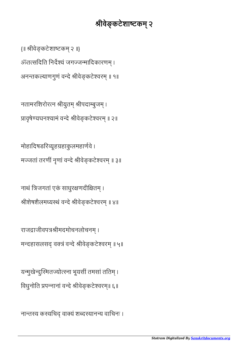नान्तस्य कस्यचिद् वाक्यं शब्दस्यानन्य वाचिनः ।

यन्मुखेन्दुस्मितज्योत्स्ना भूयसीं तमसां ततिम् । विधुनोति प्रपन्नानां वन्दे श्रीवेङ्कटेश्वरम्॥ ६॥

राजद्राजीवपत्रश्रीमदमोचनलोचनम् । मन्दहासलसद् वक्त्रं वन्दे श्रीवेङ्कटेश्वरम् ॥ ५॥

नाथं त्रिजगतां एकं साधुरक्षणदीक्षितम् । श्रीशेषशैलमध्यस्थं वन्दे श्रीवेङ्कटेश्वरम् ॥ ४॥

मोहादिषडरिव्यूहग्रहाकुलमहार्णवे । मज्जतां तरणीं नृणां वन्दे श्रीवेङ्कटेश्वरम् ॥ ३॥

प्रावृषेण्यघनश्यामं वन्दे श्रीवेङ्कटेश्वरम् ॥ २॥

नतामरशिरोरत्न श्रीयुतम् श्रीपदाम्बुजम् ।

अनन्तकल्याणगुणं वन्दे श्रीवेङ्कटेश्वरम् ॥ १॥

ॐतत्सदिति निर्देश्यं जगज्जन्मादिकारणम् ।

{॥ श्रीवेङ्कटेशाष्टकम् २ ॥}

## श्रीवेङ्कटेशाष्टकम् २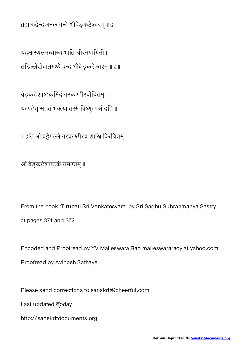ब्रह्मारुद्रेन्द्रजनकं वन्दे श्रीवेङ्कटेश्वरम् ॥ ७॥

यद्गक्षःस्थलमध्यास्य भाति श्रीरनपायिनी । तङिल्लेखेवाभ्रमध्ये वन्दे श्रीवेङ्कटेश्वरम् ॥ ८॥

वेङ्कटेशाष्टकमिदं नरकण्ठीरवोदितम् । यः पठेत् सततं भक्त्या तस्मै विष्णुः प्रसीदति ॥

॥ इति श्री वट्टेपल्ले नरकण्ठीरव शास्त्रि विरचितम्

श्री वेङ्कटेशाष्टकं समाप्तम् ॥

From the book `Tirupati Sri Venkatesvara' by Sri Sadhu Subrahmanya Sastry at pages 371 and 372

Encoded and Proofread by YV Malleswara Rao malleswararaoy at yahoo.com

Proofread by Avinash Sathaye

Please send corrections to sanskrit@cheerful.com

Last updated **doday** 

http://sanskritdocuments.org